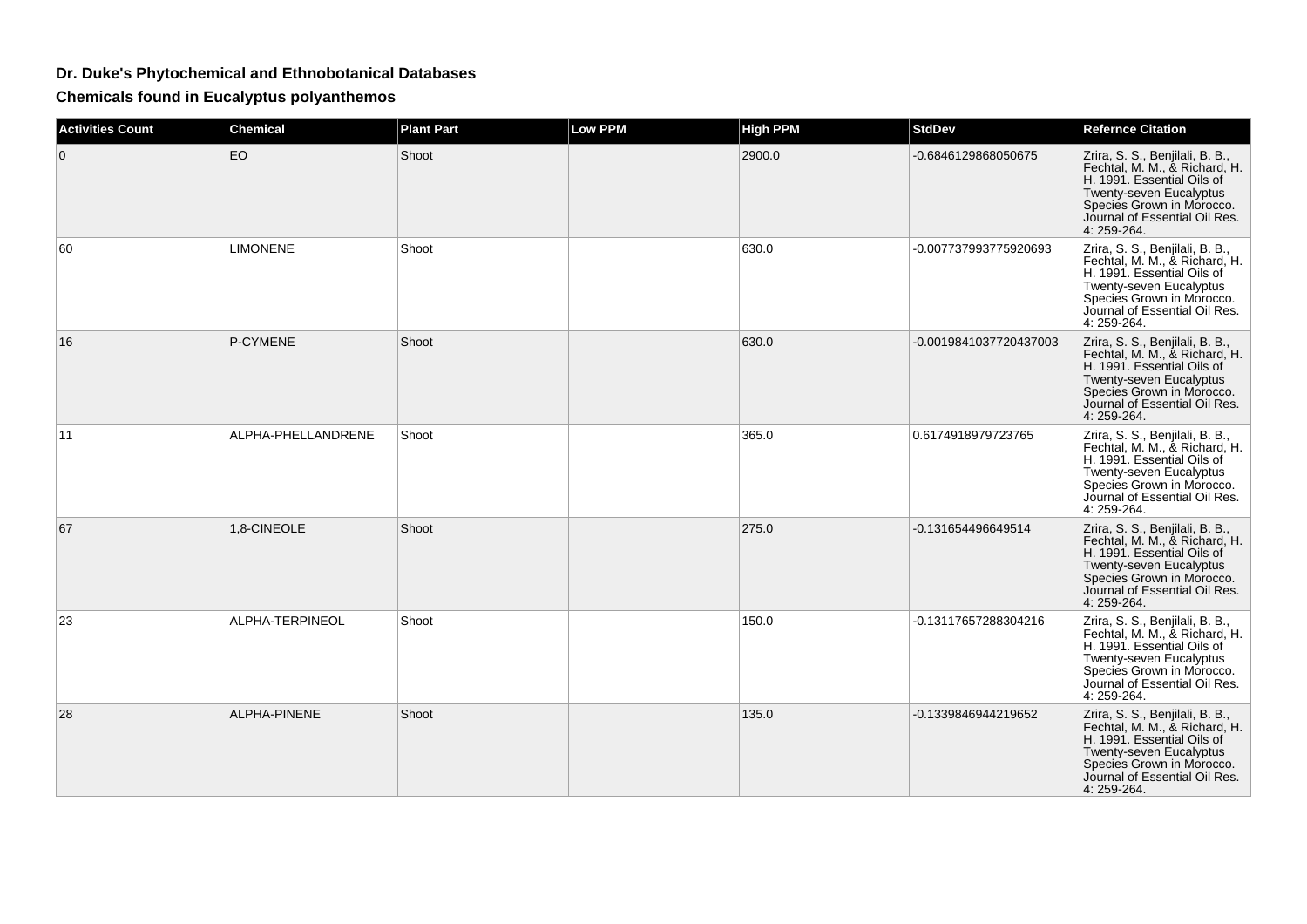## **Dr. Duke's Phytochemical and Ethnobotanical Databases**

**Chemicals found in Eucalyptus polyanthemos**

| <b>Activities Count</b> | <b>Chemical</b>    | <b>Plant Part</b> | <b>Low PPM</b> | <b>High PPM</b> | <b>StdDev</b>          | <b>Refernce Citation</b>                                                                                                                                                                               |
|-------------------------|--------------------|-------------------|----------------|-----------------|------------------------|--------------------------------------------------------------------------------------------------------------------------------------------------------------------------------------------------------|
| $\mathbf{0}$            | <b>EO</b>          | Shoot             |                | 2900.0          | -0.6846129868050675    | Zrira, S. S., Benjilali, B. B.,<br>Fechtal, M. M., & Richard, H.<br>H. 1991. Essential Oils of<br>Twenty-seven Eucalyptus<br>Species Grown in Morocco.<br>Journal of Essential Oil Res.<br>4: 259-264. |
| 60                      | <b>LIMONENE</b>    | Shoot             |                | 630.0           | -0.007737993775920693  | Zrira, S. S., Benjilali, B. B.,<br>Fechtal, M. M., & Richard, H.<br>H. 1991. Essential Oils of<br>Twenty-seven Eucalyptus<br>Species Grown in Morocco.<br>Journal of Essential Oil Res.<br>4: 259-264. |
| 16                      | P-CYMENE           | Shoot             |                | 630.0           | -0.0019841037720437003 | Zrira, S. S., Benjilali, B. B.,<br>Fechtal, M. M., & Richard, H.<br>H. 1991. Essential Oils of<br>Twenty-seven Eucalyptus<br>Species Grown in Morocco.<br>Journal of Essential Oil Res.<br>4: 259-264. |
| 11                      | ALPHA-PHELLANDRENE | Shoot             |                | 365.0           | 0.6174918979723765     | Zrira, S. S., Benjilali, B. B.,<br>Fechtal, M. M., & Richard, H.<br>H. 1991. Essential Oils of<br>Twenty-seven Eucalyptus<br>Species Grown in Morocco.<br>Journal of Essential Oil Res.<br>4: 259-264. |
| 67                      | 1,8-CINEOLE        | Shoot             |                | 275.0           | -0.131654496649514     | Zrira, S. S., Benjilali, B. B.,<br>Fechtal, M. M., & Richard, H.<br>H. 1991. Essential Oils of<br>Twenty-seven Eucalyptus<br>Species Grown in Morocco.<br>Journal of Essential Oil Res.<br>4: 259-264. |
| 23                      | ALPHA-TERPINEOL    | Shoot             |                | 150.0           | -0.13117657288304216   | Zrira, S. S., Benjilali, B. B.,<br>Fechtal, M. M., & Richard, H.<br>H. 1991. Essential Oils of<br>Twenty-seven Eucalyptus<br>Species Grown in Morocco.<br>Journal of Essential Oil Res.<br>4: 259-264. |
| 28                      | ALPHA-PINENE       | Shoot             |                | 135.0           | -0.1339846944219652    | Zrira, S. S., Benjilali, B. B.,<br>Fechtal, M. M., & Richard, H.<br>H. 1991. Essential Oils of<br>Twenty-seven Eucalyptus<br>Species Grown in Morocco.<br>Journal of Essential Oil Res.<br>4: 259-264. |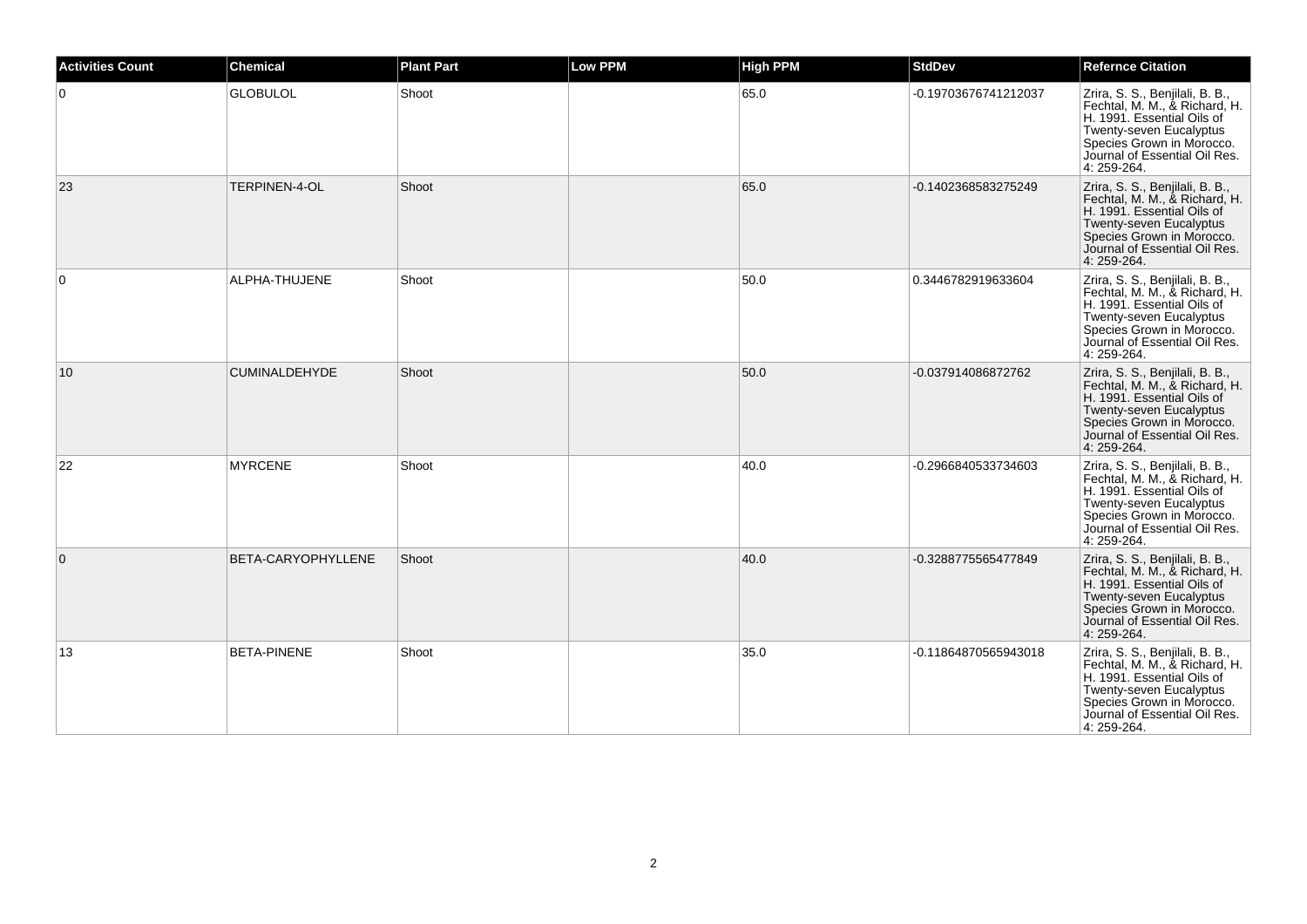| <b>Activities Count</b> | <b>Chemical</b>      | <b>Plant Part</b> | <b>Low PPM</b> | <b>High PPM</b> | <b>StdDev</b>        | <b>Refernce Citation</b>                                                                                                                                                                                      |
|-------------------------|----------------------|-------------------|----------------|-----------------|----------------------|---------------------------------------------------------------------------------------------------------------------------------------------------------------------------------------------------------------|
| $\Omega$                | <b>GLOBULOL</b>      | Shoot             |                | 65.0            | -0.19703676741212037 | Zrira, S. S., Benjilali, B. B.,<br>Fechtal, M. M., & Richard, H.<br>H. 1991. Essential Oils of<br>Twenty-seven Eucalyptus<br>Species Grown in Morocco.<br>Journal of Essential Oil Res.<br>4: 259-264.        |
| 23                      | TERPINEN-4-OL        | Shoot             |                | 65.0            | -0.1402368583275249  | Zrira, S. S., Benjilali, B. B.,<br>Fechtal, M. M., & Richard, H.<br>H. 1991. Essential Oils of<br>Twenty-seven Eucalyptus<br>Species Grown in Morocco.<br>Journal of Essential Oil Res.<br>4: 259-264.        |
| 0                       | ALPHA-THUJENE        | Shoot             |                | 50.0            | 0.3446782919633604   | Zrira, S. S., Benjilali, B. B.,<br>Fechtal, M. M., & Richard, H.<br>H. 1991. Essential Oils of<br>Twenty-seven Eucalyptus<br>Species Grown in Morocco.<br>Journal of Essential Oil Res.<br>4: 259-264.        |
| 10                      | <b>CUMINALDEHYDE</b> | Shoot             |                | 50.0            | -0.037914086872762   | Zrira, S. S., Benjilali, B. B.,<br>Fechtal, M. M., & Richard, H.<br>H. 1991. Essential Oils of<br>Twenty-seven Eucalyptus<br>Species Grown in Morocco.<br>Journal of Essential Oil Res.<br>4: 259-264.        |
| 22                      | <b>MYRCENE</b>       | Shoot             |                | 40.0            | -0.2966840533734603  | Zrira, S. S., Benjilali, B. B.,<br>Fechtal, M. M., & Richard, H.<br>H. 1991. Essential Oils of<br><b>Twenty-seven Eucalyptus</b><br>Species Grown in Morocco.<br>Journal of Essential Oil Res.<br>4: 259-264. |
| $\mathbf{0}$            | BETA-CARYOPHYLLENE   | Shoot             |                | 40.0            | -0.3288775565477849  | Zrira, S. S., Benjilali, B. B.,<br>Fechtal, M. M., & Richard, H.<br>H. 1991. Essential Oils of<br>Twenty-seven Eucalyptus<br>Species Grown in Morocco.<br>Journal of Essential Oil Res.<br>4: 259-264.        |
| 13                      | <b>BETA-PINENE</b>   | Shoot             |                | 35.0            | -0.11864870565943018 | Zrira, S. S., Benjilali, B. B.,<br>Fechtal, M. M., & Richard, H.<br>H. 1991. Essential Oils of<br>Twenty-seven Eucalyptus<br>Species Grown in Morocco.<br>Journal of Essential Oil Res.<br>4: 259-264.        |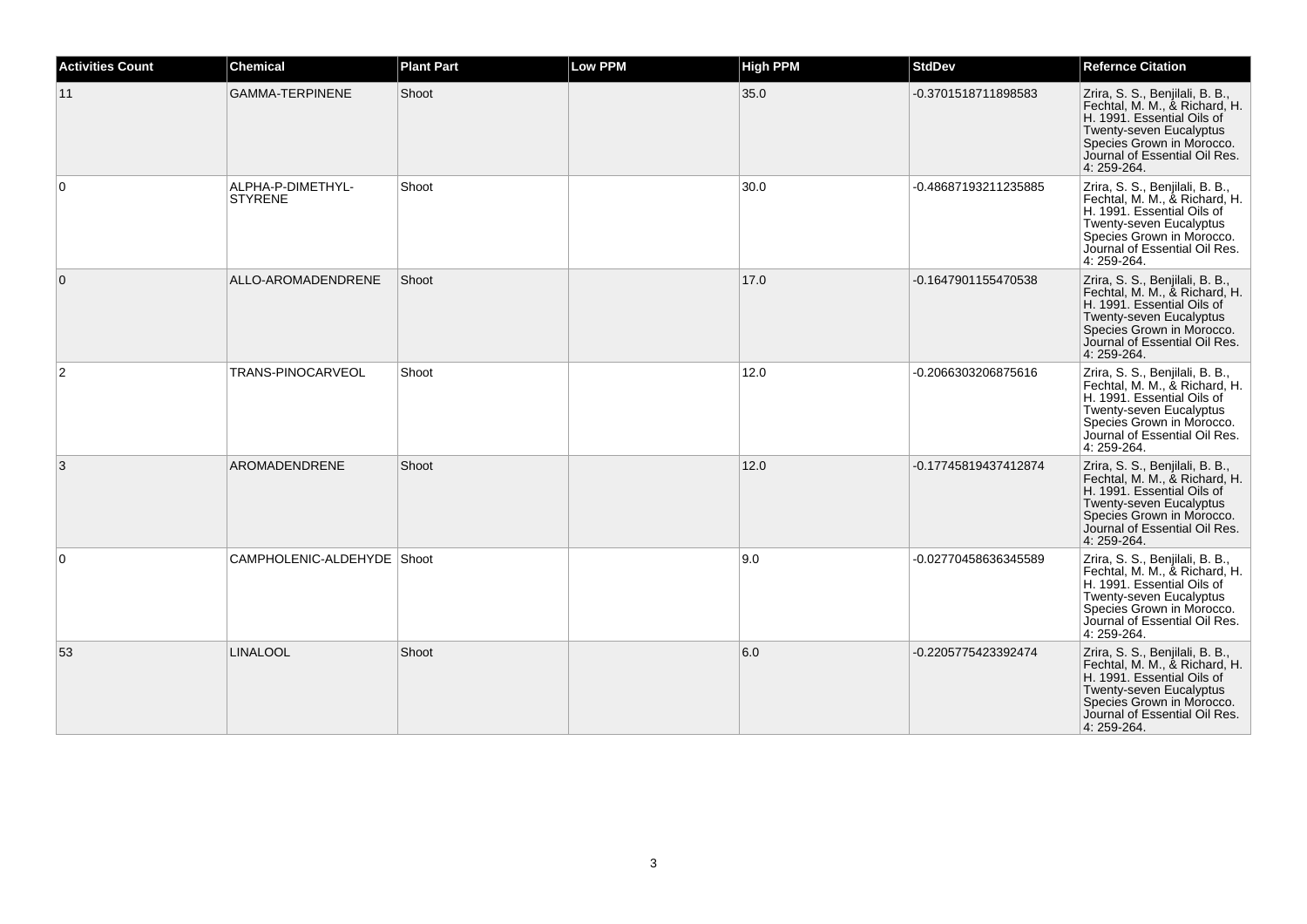| <b>Activities Count</b> | <b>Chemical</b>                     | <b>Plant Part</b> | <b>Low PPM</b> | <b>High PPM</b> | <b>StdDev</b>        | <b>Refernce Citation</b>                                                                                                                                                                               |
|-------------------------|-------------------------------------|-------------------|----------------|-----------------|----------------------|--------------------------------------------------------------------------------------------------------------------------------------------------------------------------------------------------------|
| 11                      | <b>GAMMA-TERPINENE</b>              | Shoot             |                | 35.0            | -0.3701518711898583  | Zrira, S. S., Benjilali, B. B.,<br>Fechtal, M. M., & Richard, H.<br>H. 1991. Essential Oils of<br>Twenty-seven Eucalyptus<br>Species Grown in Morocco.<br>Journal of Essential Oil Res.<br>4: 259-264. |
| $\Omega$                | ALPHA-P-DIMETHYL-<br><b>STYRENE</b> | Shoot             |                | 30.0            | -0.48687193211235885 | Zrira, S. S., Benjilali, B. B.,<br>Fechtal, M. M., & Richard, H.<br>H. 1991. Essential Oils of<br>Twenty-seven Eucalyptus<br>Species Grown in Morocco.<br>Journal of Essential Oil Res.<br>4: 259-264. |
| 0                       | ALLO-AROMADENDRENE                  | Shoot             |                | 17.0            | -0.1647901155470538  | Zrira, S. S., Benjilali, B. B.,<br>Fechtal, M. M., & Richard, H.<br>H. 1991. Essential Oils of<br>Twenty-seven Eucalyptus<br>Species Grown in Morocco.<br>Journal of Essential Oil Res.<br>4: 259-264. |
| 2                       | <b>TRANS-PINOCARVEOL</b>            | Shoot             |                | 12.0            | -0.2066303206875616  | Zrira, S. S., Benjilali, B. B.,<br>Fechtal, M. M., & Richard, H.<br>H. 1991. Essential Oils of<br>Twenty-seven Eucalyptus<br>Species Grown in Morocco.<br>Journal of Essential Oil Res.<br>4: 259-264. |
| 3                       | AROMADENDRENE                       | Shoot             |                | 12.0            | -0.17745819437412874 | Zrira, S. S., Benjilali, B. B.,<br>Fechtal, M. M., & Richard, H.<br>H. 1991. Essential Oils of<br>Twenty-seven Eucalyptus<br>Species Grown in Morocco.<br>Journal of Essential Oil Res.<br>4: 259-264. |
| $\Omega$                | CAMPHOLENIC-ALDEHYDE Shoot          |                   |                | 9.0             | -0.02770458636345589 | Zrira, S. S., Benjilali, B. B.,<br>Fechtal, M. M., & Richard, H.<br>H. 1991. Essential Oils of<br>Twenty-seven Eucalyptus<br>Species Grown in Morocco.<br>Journal of Essential Oil Res.<br>4: 259-264. |
| 53                      | <b>LINALOOL</b>                     | Shoot             |                | 6.0             | -0.2205775423392474  | Zrira, S. S., Benjilali, B. B.,<br>Fechtal, M. M., & Richard, H.<br>H. 1991. Essential Oils of<br>Twenty-seven Eucalyptus<br>Species Grown in Morocco.<br>Journal of Essential Oil Res.<br>4: 259-264. |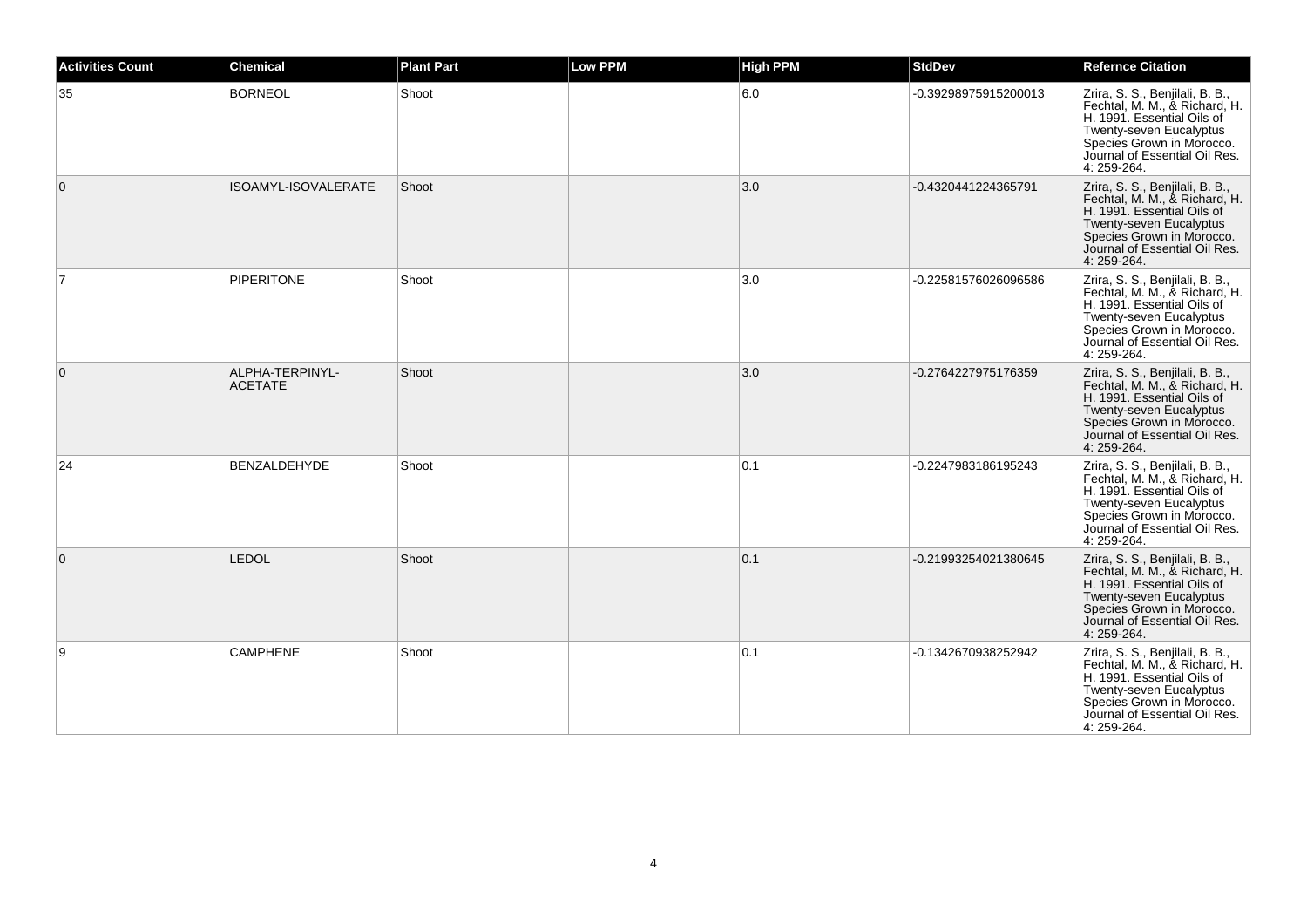| <b>Activities Count</b> | <b>Chemical</b>                   | <b>Plant Part</b> | <b>Low PPM</b> | <b>High PPM</b> | <b>StdDev</b>        | <b>Refernce Citation</b>                                                                                                                                                                               |
|-------------------------|-----------------------------------|-------------------|----------------|-----------------|----------------------|--------------------------------------------------------------------------------------------------------------------------------------------------------------------------------------------------------|
| 35                      | <b>BORNEOL</b>                    | Shoot             |                | $6.0\,$         | -0.39298975915200013 | Zrira, S. S., Benjilali, B. B.,<br>Fechtal, M. M., & Richard, H.<br>H. 1991. Essential Oils of<br>Twenty-seven Eucalyptus<br>Species Grown in Morocco.<br>Journal of Essential Oil Res.<br>4: 259-264. |
| $\mathbf{0}$            | ISOAMYL-ISOVALERATE               | Shoot             |                | 3.0             | -0.4320441224365791  | Zrira, S. S., Benjilali, B. B.,<br>Fechtal, M. M., & Richard, H.<br>H. 1991. Essential Oils of<br>Twenty-seven Eucalyptus<br>Species Grown in Morocco.<br>Journal of Essential Oil Res.<br>4: 259-264. |
| $\overline{7}$          | <b>PIPERITONE</b>                 | Shoot             |                | 3.0             | -0.22581576026096586 | Zrira, S. S., Benjilali, B. B.,<br>Fechtal, M. M., & Richard, H.<br>H. 1991. Essential Oils of<br>Twenty-seven Eucalyptus<br>Species Grown in Morocco.<br>Journal of Essential Oil Res.<br>4: 259-264. |
| $\mathbf{0}$            | ALPHA-TERPINYL-<br><b>ACETATE</b> | Shoot             |                | 3.0             | -0.2764227975176359  | Zrira, S. S., Benjilali, B. B.,<br>Fechtal, M. M., & Richard, H.<br>H. 1991. Essential Oils of<br>Twenty-seven Eucalyptus<br>Species Grown in Morocco.<br>Journal of Essential Oil Res.<br>4: 259-264. |
| 24                      | <b>BENZALDEHYDE</b>               | Shoot             |                | 0.1             | -0.2247983186195243  | Zrira, S. S., Benjilali, B. B.,<br>Fechtal, M. M., & Richard, H.<br>H. 1991. Essential Oils of<br>Twenty-seven Eucalyptus<br>Species Grown in Morocco.<br>Journal of Essential Oil Res.<br>4: 259-264. |
| $\mathbf{0}$            | <b>LEDOL</b>                      | Shoot             |                | 0.1             | -0.21993254021380645 | Zrira, S. S., Benjilali, B. B.,<br>Fechtal, M. M., & Richard, H.<br>H. 1991. Essential Oils of<br>Twenty-seven Eucalyptus<br>Species Grown in Morocco.<br>Journal of Essential Oil Res.<br>4: 259-264. |
| 9                       | <b>CAMPHENE</b>                   | Shoot             |                | 0.1             | -0.1342670938252942  | Zrira, S. S., Benjilali, B. B.,<br>Fechtal, M. M., & Richard, H.<br>H. 1991. Essential Oils of<br>Twenty-seven Eucalyptus<br>Species Grown in Morocco.<br>Journal of Essential Oil Res.<br>4: 259-264. |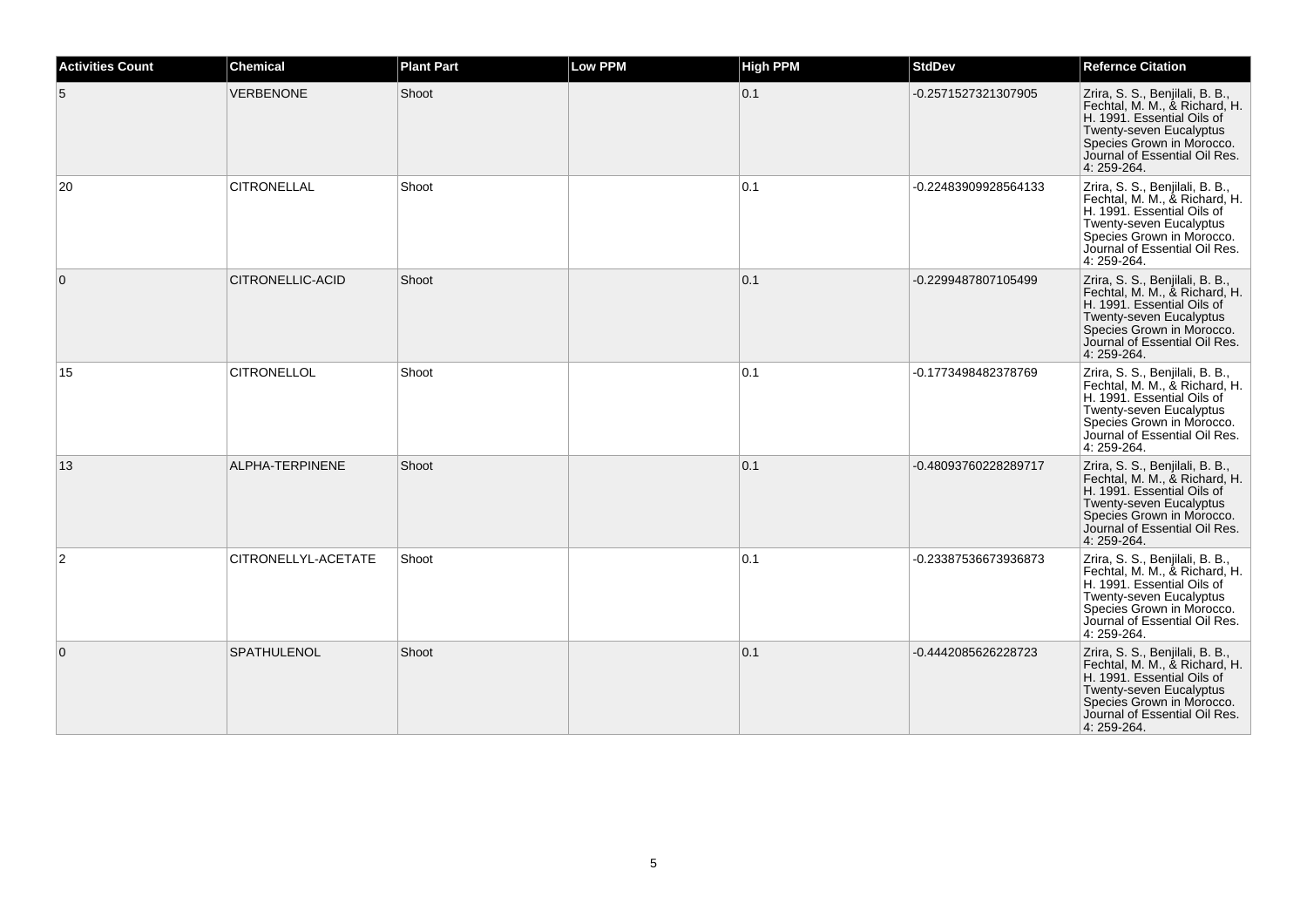| <b>Activities Count</b> | <b>Chemical</b>     | <b>Plant Part</b> | <b>Low PPM</b> | <b>High PPM</b> | <b>StdDev</b>        | <b>Refernce Citation</b>                                                                                                                                                                               |
|-------------------------|---------------------|-------------------|----------------|-----------------|----------------------|--------------------------------------------------------------------------------------------------------------------------------------------------------------------------------------------------------|
| 5                       | <b>VERBENONE</b>    | Shoot             |                | 0.1             | -0.2571527321307905  | Zrira, S. S., Benjilali, B. B.,<br>Fechtal, M. M., & Richard, H.<br>H. 1991. Essential Oils of<br>Twenty-seven Eucalyptus<br>Species Grown in Morocco.<br>Journal of Essential Oil Res.<br>4: 259-264. |
| 20                      | <b>CITRONELLAL</b>  | Shoot             |                | 0.1             | -0.22483909928564133 | Zrira, S. S., Benjilali, B. B.,<br>Fechtal, M. M., & Richard, H.<br>H. 1991. Essential Oils of<br>Twenty-seven Eucalyptus<br>Species Grown in Morocco.<br>Journal of Essential Oil Res.<br>4: 259-264. |
| $\mathbf{0}$            | CITRONELLIC-ACID    | Shoot             |                | 0.1             | -0.2299487807105499  | Zrira, S. S., Benjilali, B. B.,<br>Fechtal, M. M., & Richard, H.<br>H. 1991. Essential Oils of<br>Twenty-seven Eucalyptus<br>Species Grown in Morocco.<br>Journal of Essential Oil Res.<br>4: 259-264. |
| 15                      | <b>CITRONELLOL</b>  | Shoot             |                | 0.1             | -0.1773498482378769  | Zrira, S. S., Benjilali, B. B.,<br>Fechtal, M. M., & Richard, H.<br>H. 1991. Essential Oils of<br>Twenty-seven Eucalyptus<br>Species Grown in Morocco.<br>Journal of Essential Oil Res.<br>4: 259-264. |
| 13                      | ALPHA-TERPINENE     | Shoot             |                | 0.1             | -0.48093760228289717 | Zrira, S. S., Benjilali, B. B.,<br>Fechtal, M. M., & Richard, H.<br>H. 1991. Essential Oils of<br>Twenty-seven Eucalyptus<br>Species Grown in Morocco.<br>Journal of Essential Oil Res.<br>4: 259-264. |
| 2                       | CITRONELLYL-ACETATE | Shoot             |                | 0.1             | -0.23387536673936873 | Zrira, S. S., Benjilali, B. B.,<br>Fechtal, M. M., & Richard, H.<br>H. 1991. Essential Oils of<br>Twenty-seven Eucalyptus<br>Species Grown in Morocco.<br>Journal of Essential Oil Res.<br>4: 259-264. |
| $\mathbf 0$             | SPATHULENOL         | Shoot             |                | 0.1             | -0.4442085626228723  | Zrira, S. S., Benjilali, B. B.,<br>Fechtal, M. M., & Richard, H.<br>H. 1991. Essential Oils of<br>Twenty-seven Eucalyptus<br>Species Grown in Morocco.<br>Journal of Essential Oil Res.<br>4: 259-264. |